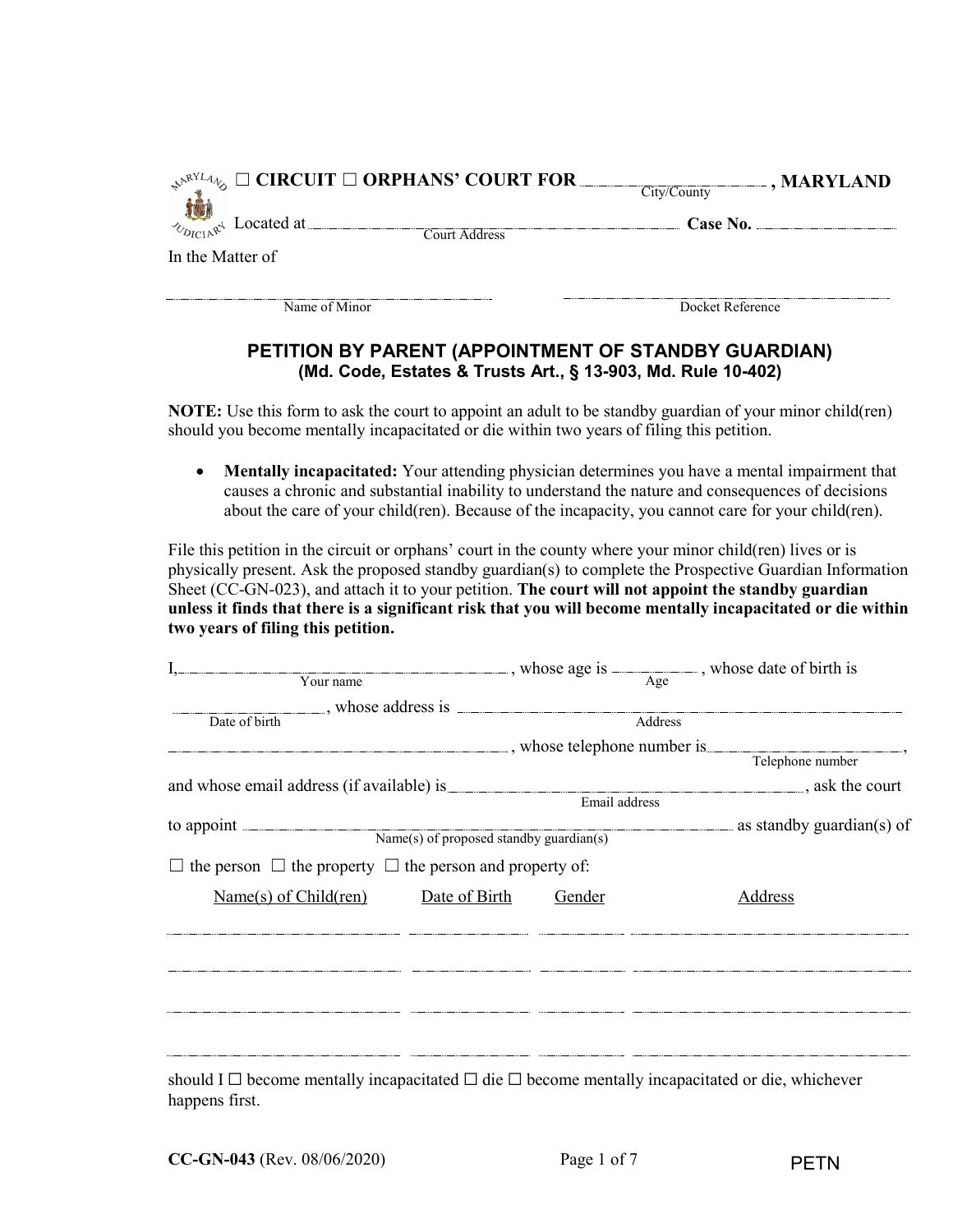| $\mathbb{R}^{\mathbb{R}^{NLA}\mathbb{Q}}$ $\square$ CIRCUIT $\square$ ORPHANS' COURT FOR | , MARYLAND       |
|------------------------------------------------------------------------------------------|------------------|
|                                                                                          | City/County      |
| $\sim_{D_{\text{ICL}}\mathbb{R}^3}$ Located at                                           | Case No.         |
| Court Address                                                                            |                  |
| In the Matter of                                                                         |                  |
|                                                                                          |                  |
|                                                                                          |                  |
| Name of Minor                                                                            | Docket Reference |

## **PETITION BY PARENT (APPOINTMENT OF STANDBY GUARDIAN) (Md. Code, Estates & Trusts Art., § 13-903, Md. Rule 10-402)**

**NOTE:** Use this form to ask the court to appoint an adult to be standby guardian of your minor child(ren) should you become mentally incapacitated or die within two years of filing this petition.

• **Mentally incapacitated:** Your attending physician determines you have a mental impairment that causes a chronic and substantial inability to understand the nature and consequences of decisions about the care of your child(ren). Because of the incapacity, you cannot care for your child(ren).

File this petition in the circuit or orphans' court in the county where your minor child(ren) lives or is physically present. Ask the proposed standby guardian(s) to complete the Prospective Guardian Information Sheet (CC-GN-023), and attach it to your petition. **The court will not appoint the standby guardian unless it finds that there is a significant risk that you will become mentally incapacitated or die within two years of filing this petition.**

| $\frac{1}{\sqrt{1-\frac{1}{\sqrt{1-\frac{1}{\sqrt{1-\frac{1}{\sqrt{1-\frac{1}{\sqrt{1-\frac{1}{\sqrt{1-\frac{1}{\sqrt{1-\frac{1}{\sqrt{1-\frac{1}{\sqrt{1-\frac{1}{\sqrt{1-\frac{1}{\sqrt{1-\frac{1}{\sqrt{1-\frac{1}{\sqrt{1-\frac{1}{\sqrt{1-\frac{1}{\sqrt{1-\frac{1}{\sqrt{1-\frac{1}{\sqrt{1-\frac{1}{\sqrt{1-\frac{1}{\sqrt{1-\frac{1}{\sqrt{1-\frac{1}{\sqrt{1-\frac{1}{\sqrt{1-\frac{1}{\sqrt{1-\frac{1}{\sqrt{1-\frac{1$<br>Your name |                                                                                                                                                                                                                                                                                                                                                                                                                                                                                                                                                 |               |         |                           |
|------------------------------------------------------------------------------------------------------------------------------------------------------------------------------------------------------------------------------------------------------------------------------------------------------------------------------------------------------------------------------------------------------------------------------------------------|-------------------------------------------------------------------------------------------------------------------------------------------------------------------------------------------------------------------------------------------------------------------------------------------------------------------------------------------------------------------------------------------------------------------------------------------------------------------------------------------------------------------------------------------------|---------------|---------|---------------------------|
| Date of birth                                                                                                                                                                                                                                                                                                                                                                                                                                  |                                                                                                                                                                                                                                                                                                                                                                                                                                                                                                                                                 |               | Address |                           |
| $\blacksquare$ , whose telephone number is $\blacksquare$ ,                                                                                                                                                                                                                                                                                                                                                                                    |                                                                                                                                                                                                                                                                                                                                                                                                                                                                                                                                                 |               |         | Telephone number          |
|                                                                                                                                                                                                                                                                                                                                                                                                                                                |                                                                                                                                                                                                                                                                                                                                                                                                                                                                                                                                                 | Email address |         |                           |
| to appoint <u>Name(s)</u> of proposed standby guardian(s)                                                                                                                                                                                                                                                                                                                                                                                      |                                                                                                                                                                                                                                                                                                                                                                                                                                                                                                                                                 |               |         | as standby guardian(s) of |
| $\Box$ the person $\Box$ the property $\Box$ the person and property of:                                                                                                                                                                                                                                                                                                                                                                       |                                                                                                                                                                                                                                                                                                                                                                                                                                                                                                                                                 |               |         |                           |
| Name(s) of Child(ren)                                                                                                                                                                                                                                                                                                                                                                                                                          | Date of Birth                                                                                                                                                                                                                                                                                                                                                                                                                                                                                                                                   | Gender        |         | Address                   |
|                                                                                                                                                                                                                                                                                                                                                                                                                                                | $\label{eq:1} \begin{minipage}{0.9\textwidth} \begin{minipage}{0.9\textwidth} \centering \begin{minipage}{0.9\textwidth} \centering \end{minipage} \begin{minipage}{0.9\textwidth} \centering \begin{minipage}{0.9\textwidth} \centering \end{minipage} \end{minipage} \begin{minipage}{0.9\textwidth} \centering \begin{minipage}{0.9\textwidth} \centering \end{minipage} \end{minipage} \begin{minipage}{0.9\textwidth} \centering \begin{minipage}{0.9\textwidth} \centering \end{minipage} \end{minipage} \begin{minipage}{0.9\textwidth}$ |               |         |                           |
|                                                                                                                                                                                                                                                                                                                                                                                                                                                |                                                                                                                                                                                                                                                                                                                                                                                                                                                                                                                                                 |               |         |                           |
|                                                                                                                                                                                                                                                                                                                                                                                                                                                |                                                                                                                                                                                                                                                                                                                                                                                                                                                                                                                                                 |               |         |                           |
| should I $\Box$ become mentally incapacitated $\Box$ die $\Box$ become mentally incapacitated or die, whichever                                                                                                                                                                                                                                                                                                                                |                                                                                                                                                                                                                                                                                                                                                                                                                                                                                                                                                 |               |         |                           |

happens first.

PETN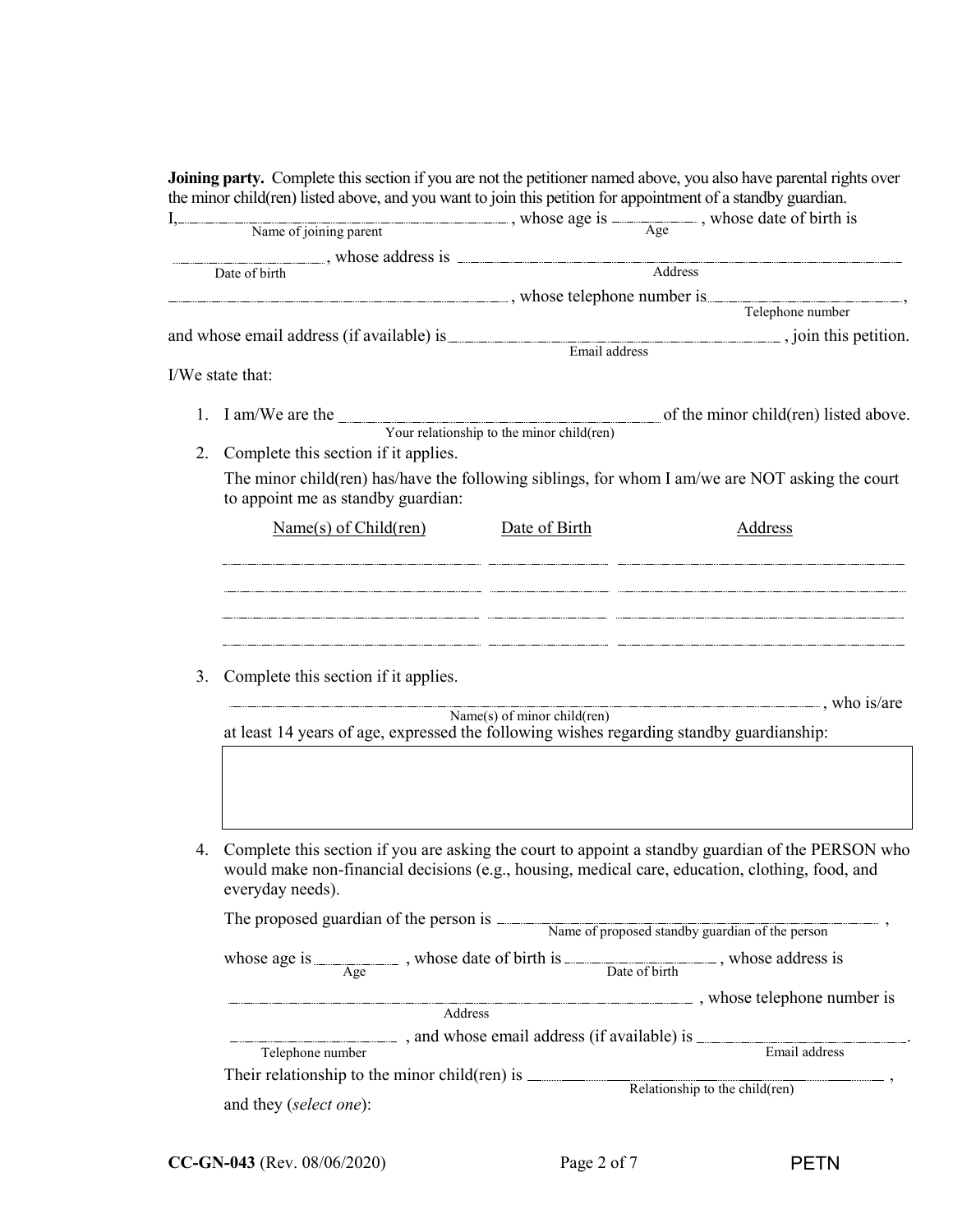|    | Name of joining parent , whose age is $\frac{1}{\text{Age}}$ , whose date of birth is<br>Date of birth                                                                                                                        |                             |                                                                                                                        |  |
|----|-------------------------------------------------------------------------------------------------------------------------------------------------------------------------------------------------------------------------------|-----------------------------|------------------------------------------------------------------------------------------------------------------------|--|
|    |                                                                                                                                                                                                                               |                             |                                                                                                                        |  |
|    |                                                                                                                                                                                                                               |                             | $\overline{\overline{\phantom{A}}\phantom{A}}$ $\overline{\phantom{A}}\phantom{A}$ $\overline{\phantom{A}}\phantom{A}$ |  |
|    | example the state whose telephone number is settled as a state of the state of the state of the state of the state of the state of the state of the state of the state of the state of the state of the state of the state of |                             |                                                                                                                        |  |
|    |                                                                                                                                                                                                                               |                             | Telephone number                                                                                                       |  |
|    | and whose email address (if available) is <b>Email address</b> , join this petition.                                                                                                                                          |                             |                                                                                                                        |  |
|    |                                                                                                                                                                                                                               |                             |                                                                                                                        |  |
|    | I/We state that:                                                                                                                                                                                                              |                             |                                                                                                                        |  |
| 1. |                                                                                                                                                                                                                               |                             | of the minor child(ren) listed above.                                                                                  |  |
|    | I am/We are the Your relationship to the minor child(ren)                                                                                                                                                                     |                             |                                                                                                                        |  |
| 2. | Complete this section if it applies.                                                                                                                                                                                          |                             |                                                                                                                        |  |
|    | The minor child(ren) has/have the following siblings, for whom I am/we are NOT asking the court                                                                                                                               |                             |                                                                                                                        |  |
|    | to appoint me as standby guardian:                                                                                                                                                                                            |                             |                                                                                                                        |  |
|    | Name(s) of Child (ren)                                                                                                                                                                                                        | Date of Birth               | Address                                                                                                                |  |
|    |                                                                                                                                                                                                                               |                             |                                                                                                                        |  |
|    |                                                                                                                                                                                                                               |                             |                                                                                                                        |  |
|    |                                                                                                                                                                                                                               |                             |                                                                                                                        |  |
|    |                                                                                                                                                                                                                               |                             |                                                                                                                        |  |
|    |                                                                                                                                                                                                                               |                             |                                                                                                                        |  |
|    |                                                                                                                                                                                                                               |                             |                                                                                                                        |  |
| 3. | Complete this section if it applies.                                                                                                                                                                                          |                             |                                                                                                                        |  |
|    |                                                                                                                                                                                                                               | Name(s) of minor child(ren) |                                                                                                                        |  |
|    | at least 14 years of age, expressed the following wishes regarding standby guardianship:                                                                                                                                      |                             |                                                                                                                        |  |
|    |                                                                                                                                                                                                                               |                             |                                                                                                                        |  |
|    |                                                                                                                                                                                                                               |                             |                                                                                                                        |  |
|    |                                                                                                                                                                                                                               |                             |                                                                                                                        |  |
|    |                                                                                                                                                                                                                               |                             |                                                                                                                        |  |
| 4. | Complete this section if you are asking the court to appoint a standby guardian of the PERSON who                                                                                                                             |                             |                                                                                                                        |  |
|    | would make non-financial decisions (e.g., housing, medical care, education, clothing, food, and                                                                                                                               |                             |                                                                                                                        |  |
|    | everyday needs).                                                                                                                                                                                                              |                             |                                                                                                                        |  |
|    |                                                                                                                                                                                                                               |                             |                                                                                                                        |  |
|    | The proposed guardian of the person is Name of proposed standby guardian of the person                                                                                                                                        |                             |                                                                                                                        |  |
|    | whose age is $\frac{1}{\text{Age}}$ , whose date of birth is $\frac{1}{\text{Date of birth}}$ , whose address is                                                                                                              |                             |                                                                                                                        |  |
|    |                                                                                                                                                                                                                               |                             |                                                                                                                        |  |
|    | Address                                                                                                                                                                                                                       |                             | whose telephone number is                                                                                              |  |
|    |                                                                                                                                                                                                                               |                             |                                                                                                                        |  |
|    | Telephone number                                                                                                                                                                                                              |                             | and whose email address (if available) is Finall address                                                               |  |
|    |                                                                                                                                                                                                                               |                             |                                                                                                                        |  |
|    |                                                                                                                                                                                                                               |                             | Relationship to the child(ren)                                                                                         |  |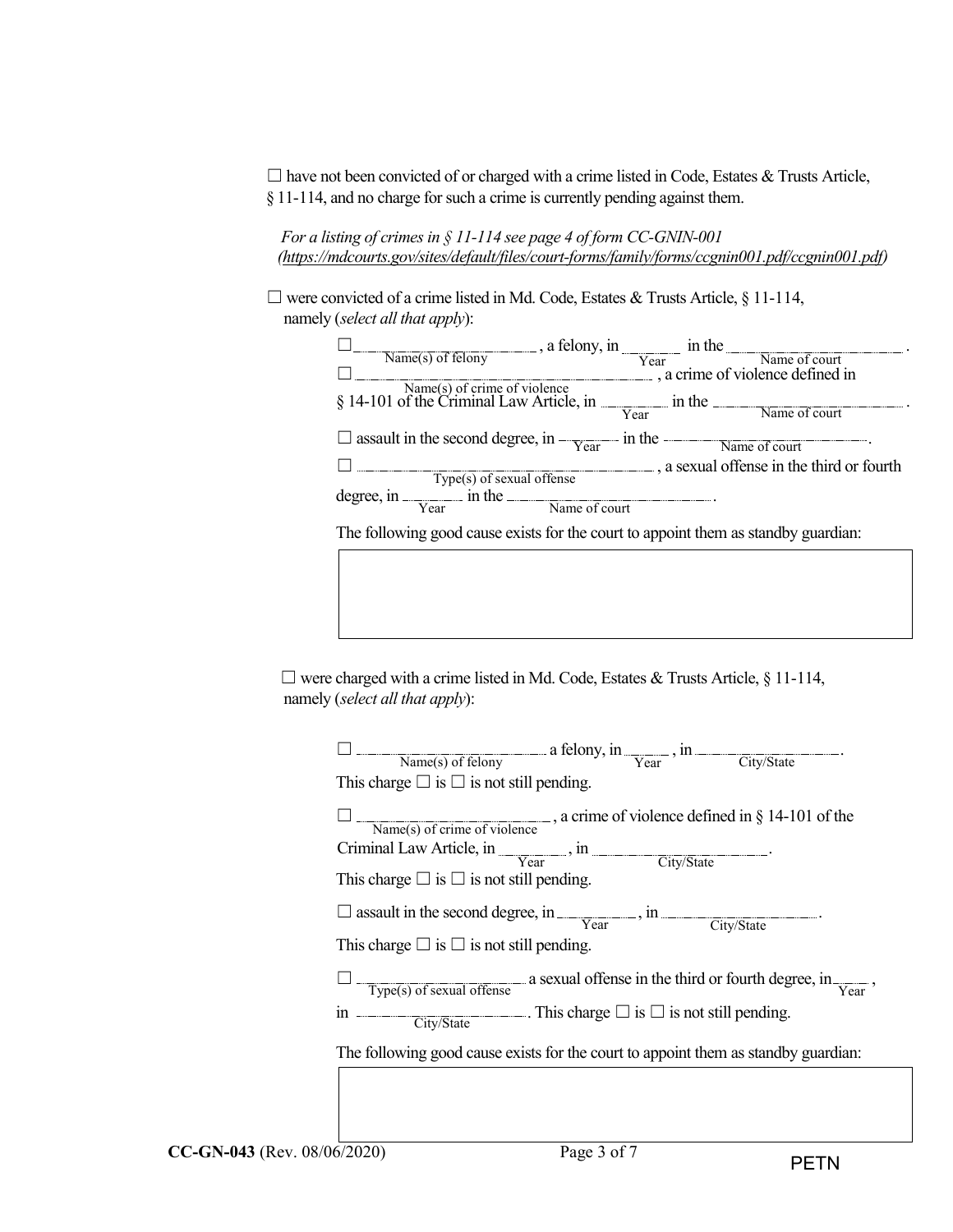$\Box$  have not been convicted of or charged with a crime listed in Code, Estates & Trusts Article, § 11-114, and no charge for such a crime is currently pending against them.

*For a listing of crimes in § 11-114 see page 4 of form CC-GNIN-001 [\(https://mdcourts.gov/sites/default/files/court-forms/family/forms/ccgnin001.pdf/ccgnin001.pdf\)](https://mdcourts.gov/sites/default/files/court-forms/family/forms/ccgnin001.pdf/ccgnin001.pdf)*

☐ were convicted of a crime listed in Md. Code, Estates & Trusts Article, § 11-114, namely (*select all that apply*):

| Name(s) of felony<br>$\frac{1}{\sqrt{2\pi}}$ , a felony, in $\frac{1}{\sqrt{2\pi}}$ in the Name of court<br>$\frac{1}{\sqrt{2\pi}}$ , a crime of violence defined in |  |                                         |
|----------------------------------------------------------------------------------------------------------------------------------------------------------------------|--|-----------------------------------------|
|                                                                                                                                                                      |  |                                         |
|                                                                                                                                                                      |  |                                         |
| $\frac{Name(s) \text{ of crime of violence}}{814-101 \text{ of the Criminal Law Article, in}}$ in the Name of court                                                  |  |                                         |
| $\Box$ assault in the second degree, in $\frac{V_{\text{car}}}{V_{\text{car}}}$ in the $\frac{V_{\text{R}}}{V_{\text{R}}}\$                                          |  |                                         |
|                                                                                                                                                                      |  | a sexual offense in the third or fourth |
| Type(s) of sexual offense                                                                                                                                            |  |                                         |
| degree, in $\frac{1}{\text{Year}}$ in the $\frac{1}{\text{Name of court}}$                                                                                           |  |                                         |
| The following good cause exists for the court to appoint them as standby guardian:                                                                                   |  |                                         |

 $\Box$  were charged with a crime listed in Md. Code, Estates & Trusts Article, § 11-114, namely (*select all that apply*):

| $\frac{1}{\text{Name(s) of fellow}}$ a felony, in $\frac{1}{\text{Year}}$ , in $\frac{1}{\text{City/State}}$ .                 |
|--------------------------------------------------------------------------------------------------------------------------------|
| This charge $\square$ is $\square$ is not still pending.                                                                       |
| $\frac{1}{\text{Name(s) of crime of violence}}$ , a crime of violence defined in § 14-101 of the                               |
| Criminal Law Article, in <u>Year</u> , in City/State                                                                           |
| This charge $\square$ is $\square$ is not still pending.                                                                       |
| $\Box$ assault in the second degree, in $\frac{\ }{\mathrm{Year}}$ , in $\frac{\ }{\mathrm{City}/\mathrm{State}}$              |
| This charge $\square$ is $\square$ is not still pending.                                                                       |
| $\frac{1}{1 - \text{Type(s) of sexual of fense}}$ a sexual offense in the third or fourth degree, in $\frac{1}{\text{Year}}$ , |
| in $\overline{\hspace{3cm}}$ City/State $\overline{\hspace{3cm}}$ . This charge $\Box$ is $\Box$ is not still pending.         |
| The following good cause exists for the court to appoint them as standby guardian:                                             |
|                                                                                                                                |
|                                                                                                                                |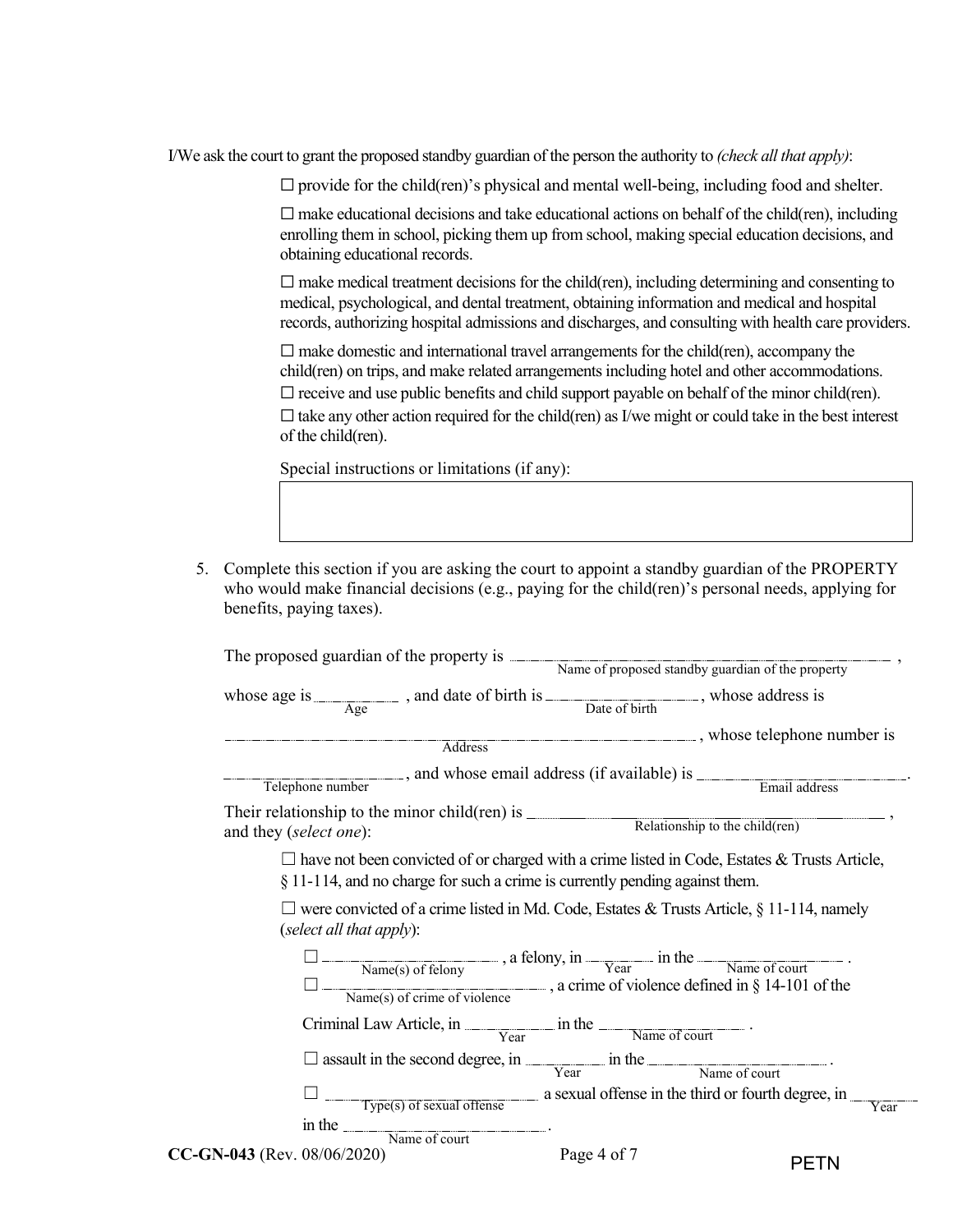I/We ask the court to grant the proposed standby guardian of the person the authority to *(check all that apply)*:

 $\Box$  provide for the child(ren)'s physical and mental well-being, including food and shelter.

 $\Box$  make educational decisions and take educational actions on behalf of the child(ren), including enrolling them in school, picking them up from school, making special education decisions, and obtaining educational records.

 $\Box$  make medical treatment decisions for the child(ren), including determining and consenting to medical, psychological, and dental treatment, obtaining information and medical and hospital records, authorizing hospital admissions and discharges, and consulting with health care providers.

 $\Box$  make domestic and international travel arrangements for the child(ren), accompany the child(ren) on trips, and make related arrangements including hotel and other accommodations.  $\Box$  receive and use public benefits and child support payable on behalf of the minor child(ren).  $\Box$  take any other action required for the child(ren) as I/we might or could take in the best interest of the child(ren).

Special instructions or limitations (if any):

5. Complete this section if you are asking the court to appoint a standby guardian of the PROPERTY who would make financial decisions (e.g., paying for the child(ren)'s personal needs, applying for benefits, paying taxes).

|                                |                                                                                                                                                                                                      |             | The proposed guardian of the property is Name of proposed standby guardian of the property                                            |
|--------------------------------|------------------------------------------------------------------------------------------------------------------------------------------------------------------------------------------------------|-------------|---------------------------------------------------------------------------------------------------------------------------------------|
|                                | whose age is $\frac{1}{\text{Age}}$ , and date of birth is $\frac{1}{\text{Date of birth}}$ , whose address is                                                                                       |             |                                                                                                                                       |
|                                | Address                                                                                                                                                                                              |             |                                                                                                                                       |
|                                |                                                                                                                                                                                                      |             | Telephone number, and whose email address (if available) is <u>Finall address</u>                                                     |
| and they (select one):         |                                                                                                                                                                                                      |             | Their relationship to the minor child(ren) is $\frac{\text{Relationship to the child (ren)}}{\text{Relationship to the child (ren)}}$ |
|                                | § 11-114, and no charge for such a crime is currently pending against them.                                                                                                                          |             | $\Box$ have not been convicted of or charged with a crime listed in Code, Estates & Trusts Article,                                   |
| (select all that apply):       |                                                                                                                                                                                                      |             | $\Box$ were convicted of a crime listed in Md. Code, Estates & Trusts Article, § 11-114, namely                                       |
|                                | $\Box$ Mame(s) of felony and felony, in $\frac{1}{\Box}$ in the $\frac{1}{\Box}$ Name of court $\Box$<br>$\Box$ Name(s) of crime of violence $\Box$ , a crime of violence defined in § 14-101 of the |             |                                                                                                                                       |
|                                | $Criminal Law Article, in \frac{1}{Year} in the \frac{1}{Name\ of\ court}.$                                                                                                                          |             |                                                                                                                                       |
|                                | $\Box$ assault in the second degree, in $\frac{V_{\text{car}}}{V_{\text{car}}}$ in the Name of court                                                                                                 |             |                                                                                                                                       |
|                                |                                                                                                                                                                                                      |             | $\frac{1}{\text{Type(s) of sexual of fense}}$ a sexual offense in the third or fourth degree, in<br>Year                              |
| $CC$ -GN-043 (Rev. 08/06/2020) | $\frac{1}{2}$ in the $\frac{1}{2}$ Name of court.                                                                                                                                                    | Page 4 of 7 | PETN                                                                                                                                  |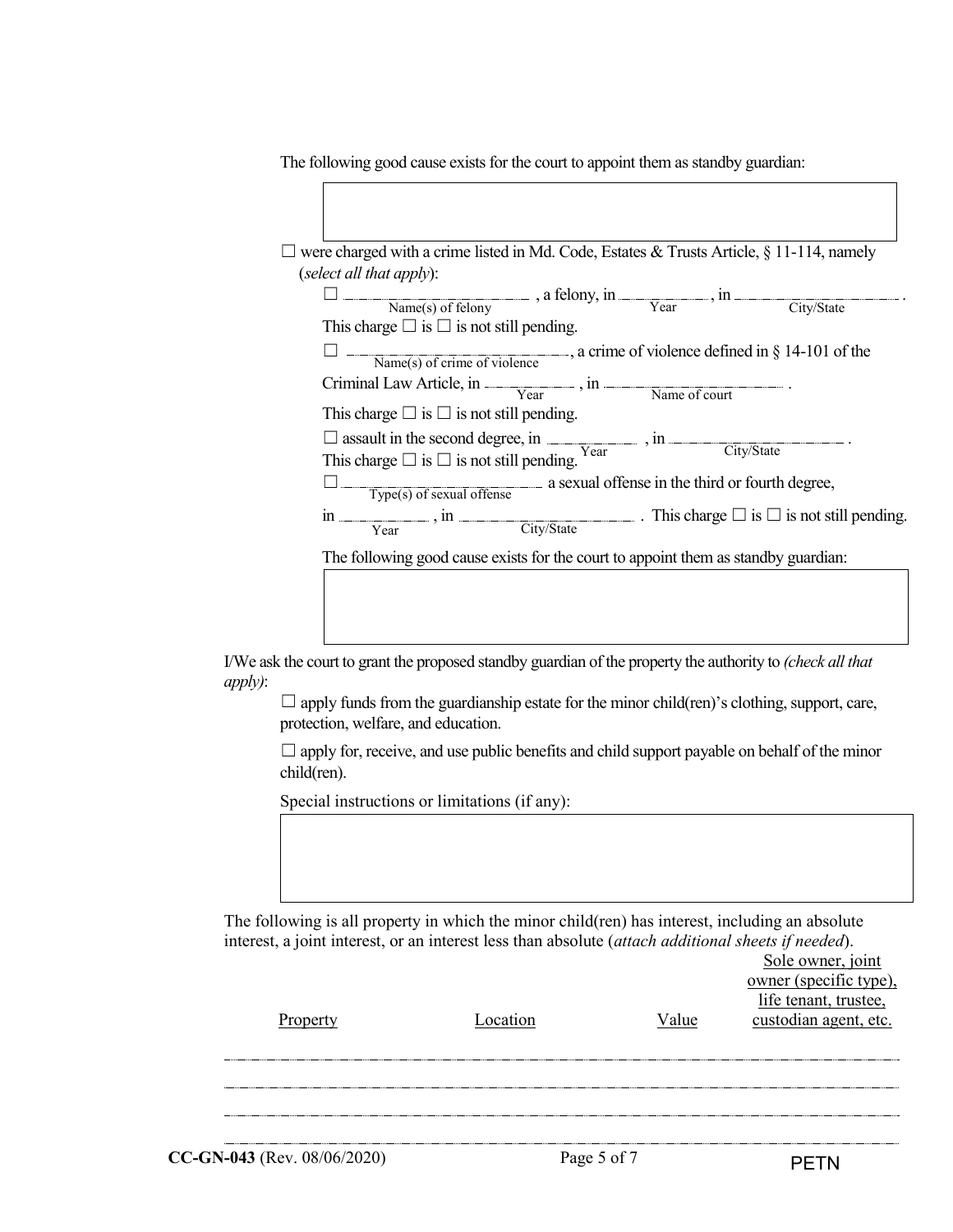The following good cause exists for the court to appoint them as standby guardian:

| (select all that apply):                                                                                                                                                                                        |  |  |  |
|-----------------------------------------------------------------------------------------------------------------------------------------------------------------------------------------------------------------|--|--|--|
| $\Box$ Mame(s) of felony and $\Box$ and $\Box$ and $\Box$ areas of felony $\Box$ areas of felony $\Box$                                                                                                         |  |  |  |
| This charge $\square$ is $\square$ is not still pending.                                                                                                                                                        |  |  |  |
| Name(s) of crime of violence $\alpha$ , a crime of violence defined in § 14-101 of the                                                                                                                          |  |  |  |
| $Criminal Law Article, in \frac{V_{\text{car}}}{V_{\text{car}}}, in \frac{V_{\text{name of court}}}{V_{\text{name of court}}}$                                                                                  |  |  |  |
| This charge $\square$ is $\square$ is not still pending.                                                                                                                                                        |  |  |  |
| $\Box \text{ assault in the second degree, in } \underline{\hspace{2cm}} \text{, in } \underline{\hspace{2cm}} \underline{\hspace{2cm}} \text{.}$ This charge $\Box$ is<br>$\Box$ is not still pending.<br>Year |  |  |  |
|                                                                                                                                                                                                                 |  |  |  |
| Type(s) of sexual offense a sexual offense in the third or fourth degree,                                                                                                                                       |  |  |  |
| in $\frac{\ }{\ }$ , in $\frac{\ }{\ }$ (ity/State). This charge $\Box$ is $\Box$ is not still pending.                                                                                                         |  |  |  |
| The following good cause exists for the court to appoint them as standby guardian:                                                                                                                              |  |  |  |
|                                                                                                                                                                                                                 |  |  |  |

I/We ask the court to grant the proposed standby guardian of the property the authority to *(check all that apply)*:

 $\Box$  apply funds from the guardianship estate for the minor child(ren)'s clothing, support, care, protection, welfare, and education.

 $\Box$  apply for, receive, and use public benefits and child support payable on behalf of the minor child(ren).

Special instructions or limitations (if any):

The following is all property in which the minor child(ren) has interest, including an absolute interest, a joint interest, or an interest less than absolute (*attach additional sheets if needed*). Sole owner, joint

| Property | Location | Value | owner (specific type),<br>life tenant, trustee,<br>custodian agent, etc. |
|----------|----------|-------|--------------------------------------------------------------------------|
|          |          |       |                                                                          |
|          |          |       |                                                                          |
|          |          |       |                                                                          |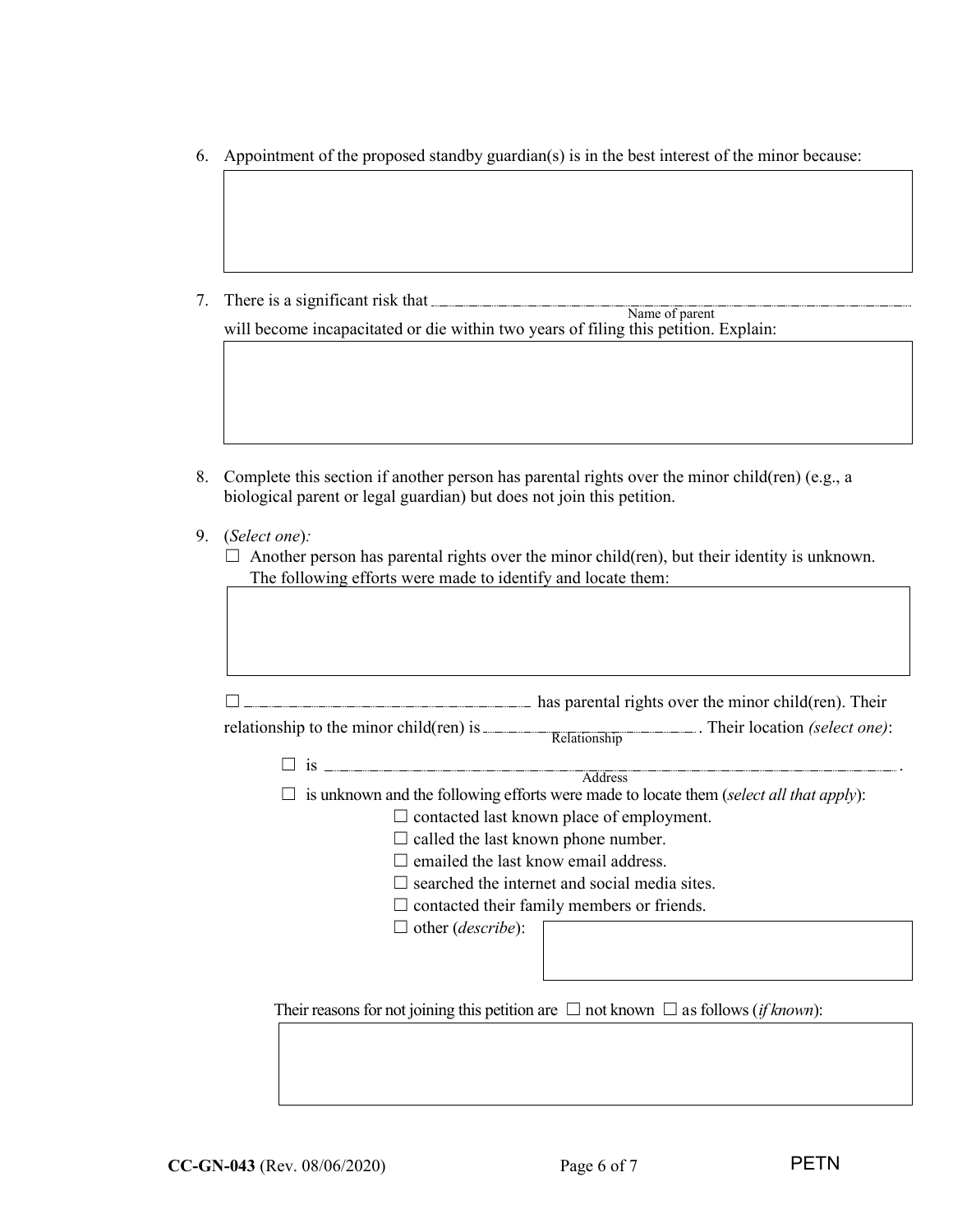6. Appointment of the proposed standby guardian(s) is in the best interest of the minor because:

7. There is a significant risk that

will become incapacitated or die within two years of filing this petition. Explain: Name of parent

- 8. Complete this section if another person has parental rights over the minor child(ren) (e.g., a biological parent or legal guardian) but does not join this petition.
- 9. (*Select one*)*:*

| $\Box$ Another person has parental rights over the minor child(ren), but their identity is unknown. |
|-----------------------------------------------------------------------------------------------------|
| The following efforts were made to identify and locate them:                                        |

| relationship to the minor child $(ren)$ is $\_\_$ | Relationship . Their location (select one):                                                             |  |
|---------------------------------------------------|---------------------------------------------------------------------------------------------------------|--|
| $\Box$ is $\Box$                                  |                                                                                                         |  |
|                                                   | Address                                                                                                 |  |
|                                                   | is unknown and the following efforts were made to locate them (select all that apply):                  |  |
|                                                   | $\Box$ contacted last known place of employment.                                                        |  |
| $\Box$ called the last known phone number.        |                                                                                                         |  |
| emailed the last know email address.              |                                                                                                         |  |
|                                                   | $\Box$ searched the internet and social media sites.                                                    |  |
|                                                   | $\Box$ contacted their family members or friends.                                                       |  |
| $\Box$ other ( <i>describe</i> ):                 |                                                                                                         |  |
|                                                   |                                                                                                         |  |
|                                                   |                                                                                                         |  |
|                                                   |                                                                                                         |  |
|                                                   | Their reasons for not joining this petition are $\Box$ not known $\Box$ as follows ( <i>if known</i> ): |  |
|                                                   |                                                                                                         |  |